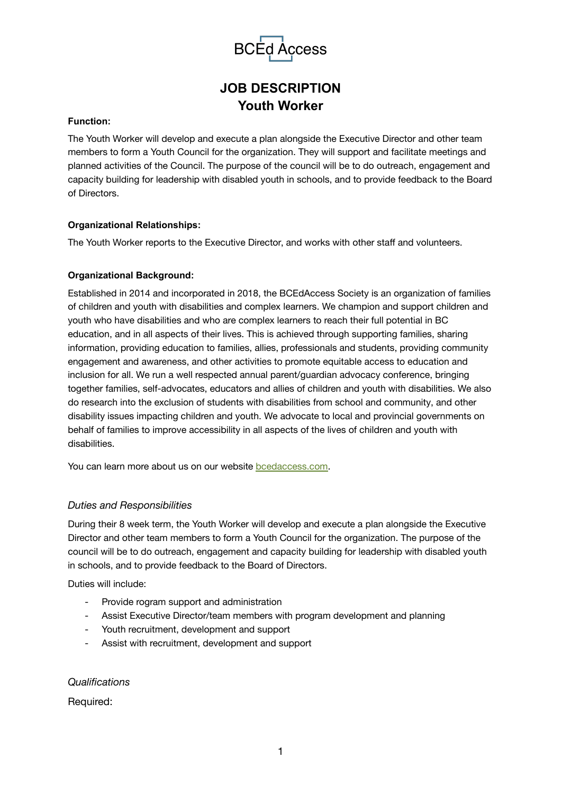

# **JOB DESCRIPTION Youth Worker**

### **Function:**

The Youth Worker will develop and execute a plan alongside the Executive Director and other team members to form a Youth Council for the organization. They will support and facilitate meetings and planned activities of the Council. The purpose of the council will be to do outreach, engagement and capacity building for leadership with disabled youth in schools, and to provide feedback to the Board of Directors.

## **Organizational Relationships:**

The Youth Worker reports to the Executive Director, and works with other staff and volunteers.

## **Organizational Background:**

Established in 2014 and incorporated in 2018, the BCEdAccess Society is an organization of families of children and youth with disabilities and complex learners. We champion and support children and youth who have disabilities and who are complex learners to reach their full potential in BC education, and in all aspects of their lives. This is achieved through supporting families, sharing information, providing education to families, allies, professionals and students, providing community engagement and awareness, and other activities to promote equitable access to education and inclusion for all. We run a well respected annual parent/guardian advocacy conference, bringing together families, self-advocates, educators and allies of children and youth with disabilities. We also do research into the exclusion of students with disabilities from school and community, and other disability issues impacting children and youth. We advocate to local and provincial governments on behalf of families to improve accessibility in all aspects of the lives of children and youth with disabilities.

You can learn more about us on our website **bcedaccess.com**.

## *Duties and Responsibilities*

During their 8 week term, the Youth Worker will develop and execute a plan alongside the Executive Director and other team members to form a Youth Council for the organization. The purpose of the council will be to do outreach, engagement and capacity building for leadership with disabled youth in schools, and to provide feedback to the Board of Directors.

Duties will include:

- Provide rogram support and administration
- Assist Executive Director/team members with program development and planning
- Youth recruitment, development and support
- Assist with recruitment, development and support

#### *Qualifications*

Required: